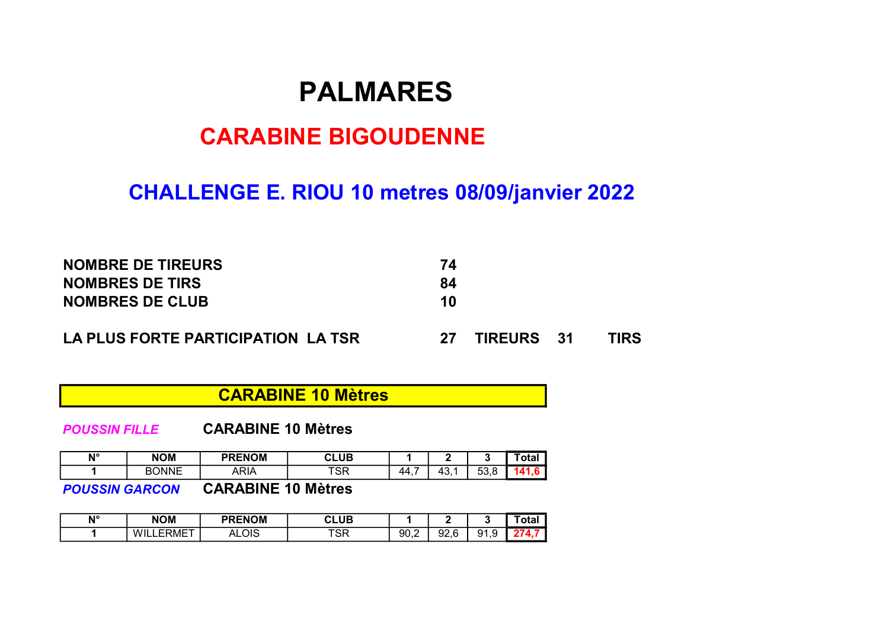# PALMARES

# CARABINE BIGOUDENNE

# CHALLENGE E. RIOU 10 metres 08/09/janvier 2022

| <b>NOMBRE DE TIREURS</b>           | 74  |                   |      |
|------------------------------------|-----|-------------------|------|
| <b>NOMBRES DE TIRS</b>             | 84  |                   |      |
| <b>NOMBRES DE CLUB</b>             | 10  |                   |      |
| LA PLUS FORTE PARTICIPATION LA TSR | -27 | <b>TIREURS</b> 31 | TIRS |

CARABINE 10 Mètres

POUSSIN FILLE CARABINE 10 Mètres

| N° | <b>NOM</b> | <b>PRENOM</b> | <b>CLUB</b> |             |               |                          | <b>ota</b><br><b>Uld.</b> |
|----|------------|---------------|-------------|-------------|---------------|--------------------------|---------------------------|
|    | BONNE      | ARIA          | TOD<br>ಾಗ   | -<br>-44. . | $\sim$<br>÷ບ. | -^<br>$\sqrt{2}$<br>vv.u |                           |

POUSSIN GARCON CARABINE 10 Mètres

| Ν° | <b>NOM</b>          | <b>PRENOM</b><br>$\sim$ $\sim$             | C <sub>1</sub> 11D<br>٠σ<br>______ |      |                         |               | <b>Ula</b> |
|----|---------------------|--------------------------------------------|------------------------------------|------|-------------------------|---------------|------------|
|    | ERMET<br>Wh.<br>- 1 | $\overline{\mathcal{M}}$<br>∽<br>^<br>טוש. | TO D                               | 90,2 | nn<br>$\epsilon$<br>しんい | 91<br>u<br>ں. |            |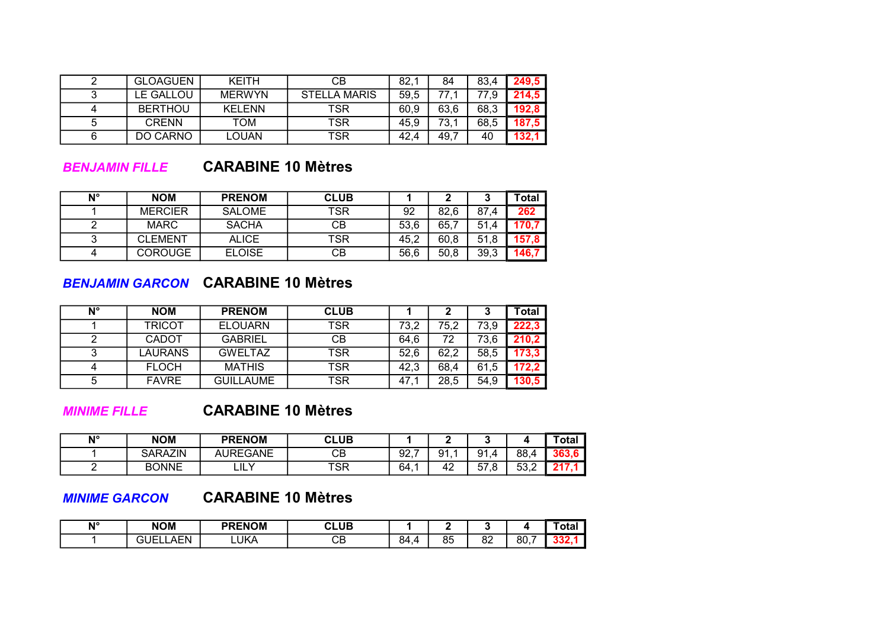|   | <b>GLOAGUEN</b> | <b>KFITH</b>  | CВ                  | 82,  | 84   | 83,4 | 249.5 |
|---|-----------------|---------------|---------------------|------|------|------|-------|
|   | LE GALLOU       | <b>MERWYN</b> | <b>STELLA MARIS</b> | 59,5 | 77.  | 77.9 | 214.5 |
|   | <b>BERTHOU</b>  | <b>KELENN</b> | TSR                 | 60,9 | 63,6 | 68,3 | 192.8 |
| 5 | <b>CRENN</b>    | TOM           | <b>TSR</b>          | 45.9 | 73.1 | 68,5 | 187,5 |
|   | DO CARNO        | LOUAN         | TSR                 | 42.4 | 49.7 | 40   | 132,1 |

#### BENJAMIN FILLE CARABINE 10 Mètres

| N° | <b>NOM</b>     | <b>PRENOM</b> | <b>CLUB</b> |      |      |      | ⊺otal |
|----|----------------|---------------|-------------|------|------|------|-------|
|    | <b>MERCIER</b> | <b>SALOME</b> | TSR         | 92   | 82.6 | 87.4 | 262   |
|    | <b>MARC</b>    | <b>SACHA</b>  | CВ          | 53.6 | 65.7 | 51.4 |       |
|    | <b>CLEMENT</b> | <b>ALICE</b>  | TSR         | 45.2 | 60.8 | 51.8 |       |
|    | <b>COROUGE</b> | <b>ELOISE</b> | CВ          | 56.6 | 50.8 | 39.3 |       |

#### BENJAMIN GARCON CARABINE 10 Mètres

| N° | <b>NOM</b>    | <b>PRENOM</b>    | <b>CLUB</b> |      |      |      | <b>Total</b> |
|----|---------------|------------------|-------------|------|------|------|--------------|
|    | TRICOT        | <b>ELOUARN</b>   | TSR         | 73,2 | 75,2 | 73,9 | 222,3        |
|    | <b>CADOT</b>  | <b>GABRIEL</b>   | CВ          | 64.6 | 72   | 73,6 | 210,2        |
|    | <b>AURANS</b> | <b>GWELTAZ</b>   | TSR         | 52.6 | 62.2 | 58,5 | 173.3        |
|    | <b>FLOCH</b>  | <b>MATHIS</b>    | TSR         | 42,3 | 68,4 | 61,5 | 172.2        |
| 5  | <b>FAVRE</b>  | <b>GUILLAUME</b> | TSR         | 47   | 28,5 | 54,9 | 130,5        |

## MINIME FILLE CARABINE 10 Mètres

| N° | <b>NOM</b>     | <b>PRENOM</b>   | <b>CLUB</b> |     |                 |                          |                           | Total |
|----|----------------|-----------------|-------------|-----|-----------------|--------------------------|---------------------------|-------|
|    | <b>SARAZIN</b> | <b>AUREGANE</b> | CВ          | 92, | Q1              | Q1<br>Δ                  | 88,                       | 202   |
|    | <b>BONNE</b>   | LILY            | TSR.        | 64. | $4^\circ$<br>Т4 | г7<br>ୁ<br>-<br>◡<br>. ب | 52.<br>$\sqrt{2}$<br>ے, ت |       |

#### MINIME GARCON CARABINE 10 Mètres

| $N^{\circ}$ | <b>NOM</b>                                        | <b>PRENOM</b> | ~.<br><b>:LUB</b><br>________ |                     |          |          |          | ˈotal |
|-------------|---------------------------------------------------|---------------|-------------------------------|---------------------|----------|----------|----------|-------|
|             | <b>AFN</b><br>JEI<br>-<br>-<br>∼<br>, , , , , , , | ∟UKA          | --<br>◡◡                      | RΔ<br>$\sim$ $\sim$ | QE<br>ου | 00<br>oΖ | _<br>80, |       |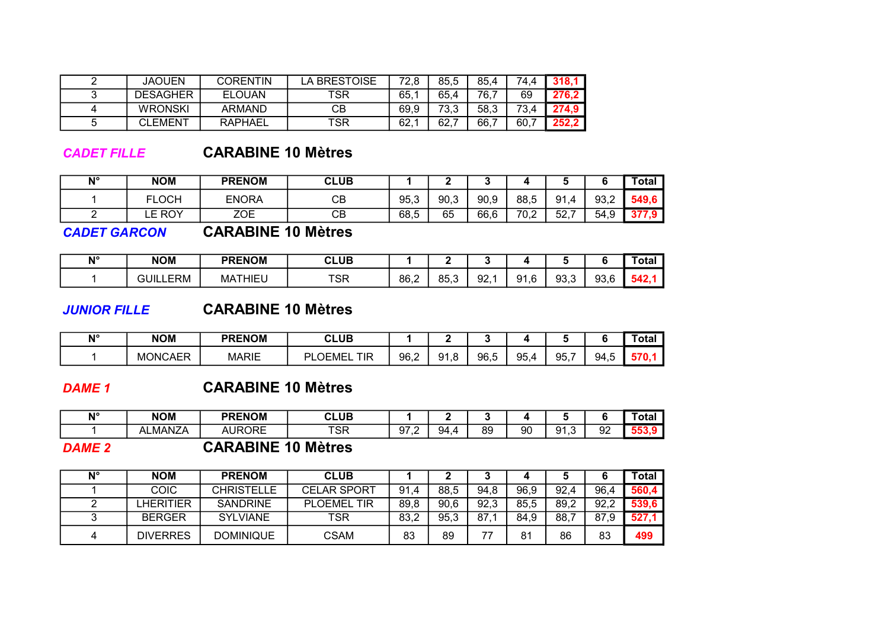| ⌒ | JAOUEN          | CORENTIN      | A BRESTOISE | 72.8 | 85.5 | 85.4 | 74,4 | 318.1 |
|---|-----------------|---------------|-------------|------|------|------|------|-------|
| ⌒ | <b>DESAGHER</b> | <b>ELOUAN</b> | TSR         | 65.1 | 65.4 | 76,  | 69   | 276,2 |
| 4 | <b>WRONSKI</b>  | <b>ARMAND</b> | CВ          | 69,9 | 73,3 | 58,3 | 73,4 | 274,9 |
|   | <b>CLEMENT</b>  | RAPHAEL       | TSR         | 62,  | 62,  | 66,  | 60.  | 252,2 |

#### CADET FILLE CARABINE 10 Mètres

| N° | NOM          | <b>PRENOM</b> | <b>CLUB</b> |      | -    |      |      |           |                          | <b>Total</b>         |
|----|--------------|---------------|-------------|------|------|------|------|-----------|--------------------------|----------------------|
|    | <b>FLOCH</b> | <b>ENORA</b>  | CВ          | 95,3 | 90,3 | 90,9 | 88,5 | 91<br>4   | 93,2                     | 549.6                |
|    | E ROY.<br>__ | ZOE           | СВ          | 68,5 | 65   | 66,6 | 70,2 | よつ<br>JZ, | 54<br>$\sim$<br>ັ<br>ن., | $\ddot{\phantom{1}}$ |

CADET GARCON CARABINE 10 Mètres

| ۸I° | <b>NOM</b>                  | <b>PRENOM</b>      | <b>CLUB</b> |      |             |     |      |       |                      | 'otal |
|-----|-----------------------------|--------------------|-------------|------|-------------|-----|------|-------|----------------------|-------|
|     | <b>ERM</b><br>31 JII<br>_ _ | <b>THIEL</b><br>МA | TCD<br>১ম   | 86,2 | 25 Z<br>いいい | 92, | 91,6 | 93, 3 | ۵Q<br>$\sim$<br>ວ∪.∪ | - 22  |

## JUNIOR FILLE CARABINE 10 Mètres

| N° | NOM            | <b>PRENOM</b> | <b>CLUB</b>        |      |               |      |             |             |           | ⊺otai |
|----|----------------|---------------|--------------------|------|---------------|------|-------------|-------------|-----------|-------|
|    | <b>MONCAER</b> | <b>MARIE</b>  | ום<br>TIR<br>OEMEL | 96,2 | O1<br>$\cdot$ | 96.5 | 954<br>ອບ.ູ | Q5 7<br>ວບ. | 94<br>T.U |       |

## DAME 1 CARABINE 10 Mètres

| N°.<br>. . | <b>NOM</b>     | <b>PRENOM</b>        | <b>CLUB</b> |                                       |    |    |    |                     |         | ˈotal |
|------------|----------------|----------------------|-------------|---------------------------------------|----|----|----|---------------------|---------|-------|
|            | <b>ALMANZA</b> | <b>NURORE</b><br>AU. | TCD<br>১    | $\sim$<br>-<br>u<br>ອ ເ<br>. <u>.</u> | 94 | 89 | 90 | Q <sub>1</sub><br>ີ | ററ<br>ັ | . .   |

#### DAME 2 CARABINE 10 Mètres

| $N^{\circ}$ | <b>NOM</b>      | <b>PRENOM</b>     | <b>CLUB</b>        |      |      |      |      |      |      | Total |
|-------------|-----------------|-------------------|--------------------|------|------|------|------|------|------|-------|
|             | <b>COIC</b>     | <b>CHRISTELLE</b> | <b>CELAR SPORT</b> | 91,4 | 88.5 | 94,8 | 96,9 | 92,4 | 96,4 | 560,4 |
|             | .HERITIER       | <b>SANDRINE</b>   | <b>PLOEMEL TIR</b> | 89,8 | 90.6 | 92,3 | 85,5 | 89,2 | 92,2 | 539,6 |
|             | <b>BERGER</b>   | <b>SYLVIANE</b>   | TSR                | 83,2 | 95,3 | 87   | 84,9 | 88,7 | 87.9 | 527,1 |
|             | <b>DIVERRES</b> | <b>DOMINIQUE</b>  | CSAM               | 83   | 89   | --   | 81   | 86   | 83   | 499   |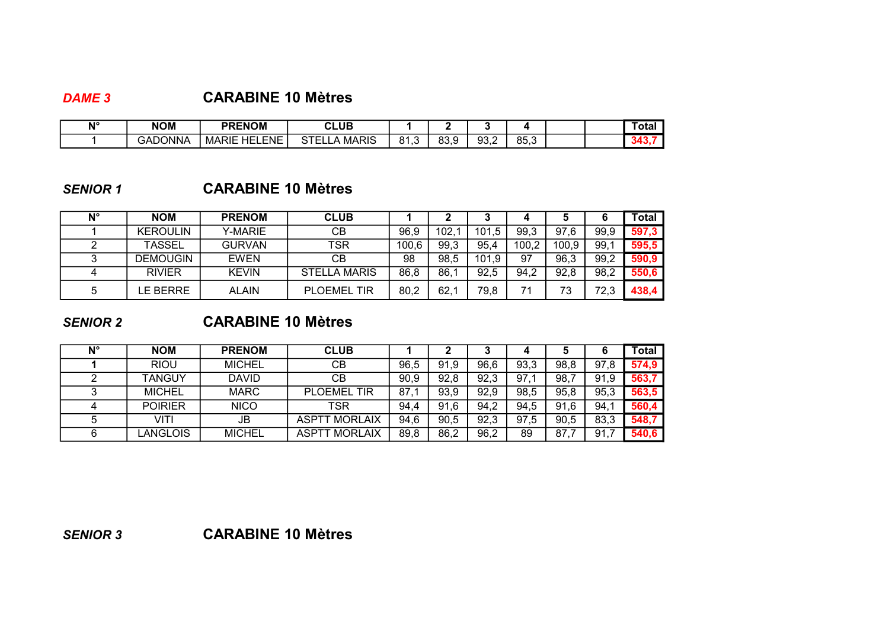## DAME 3 CARABINE 10 Mètres

| N۱° | <b>NOM</b> | <b>PRENOM</b>               | <b>CLUB</b>               |               |             |            |                               |  | ⊺ota |
|-----|------------|-----------------------------|---------------------------|---------------|-------------|------------|-------------------------------|--|------|
|     | GADONNA    | ENE.<br>HFL<br><b>MARIE</b> | <b>MARIS</b><br>~-<br>. . | O 4<br>د. ۱ ه | 930<br>ບບ.ວ | റാ<br>ວບ,∠ | 0F <sub>0</sub><br>. .<br>∪.∪ |  | . .  |

## SENIOR 1 CARABINE 10 Mètres

| N° | <b>NOM</b>      | <b>PRENOM</b> | <b>CLUB</b>         |       |      |       |       |       |      | Total |
|----|-----------------|---------------|---------------------|-------|------|-------|-------|-------|------|-------|
|    | <b>KEROULIN</b> | Y-MARIE       | CВ                  | 96,9  | 102. | 101,5 | 99,3  | 97,6  | 99,9 | 597,3 |
|    | <b>TASSEL</b>   | <b>GURVAN</b> | TSR                 | 100,6 | 99,3 | 95,4  | 100,2 | 100,9 | 99.1 | 595,5 |
|    | <b>DEMOUGIN</b> | <b>EWEN</b>   | CВ                  | 98    | 98,5 | 101,9 | 97    | 96,3  | 99,2 | 590,9 |
|    | <b>RIVIER</b>   | <b>KEVIN</b>  | <b>STELLA MARIS</b> | 86,8  | 86,1 | 92,5  | 94,2  | 92,8  | 98,2 | 550,6 |
| b  | E BERRE.        | <b>ALAIN</b>  | <b>PLOEMEL TIR</b>  | 80,2  | 62,1 | 79,8  | 71    | 73    | 72,3 | 438,4 |

## SENIOR 2 CARABINE 10 Mètres

| N° | <b>NOM</b>     | <b>PRENOM</b> | <b>CLUB</b>          |      |      |      |      |      |           | Total |
|----|----------------|---------------|----------------------|------|------|------|------|------|-----------|-------|
|    | <b>RIOU</b>    | <b>MICHEL</b> | CВ                   | 96.5 | 91,9 | 96,6 | 93,3 | 98,8 | 97,8      | 574,9 |
|    | <b>TANGUY</b>  | <b>DAVID</b>  | CВ                   | 90,9 | 92,8 | 92,3 | 97,1 | 98.7 | .9<br>91  | 563,7 |
|    | <b>MICHEL</b>  | <b>MARC</b>   | <b>PLOEMEL TIR</b>   | 87,  | 93,9 | 92,9 | 98,5 | 95,8 | 95,3      | 563,5 |
|    | <b>POIRIER</b> | <b>NICO</b>   | TSR                  | 94.4 | 91.6 | 94,2 | 94.5 | 91.6 | 94,1      | 560,4 |
|    | VITI           | JB            | <b>ASPTT MORLAIX</b> | 94.6 | 90.5 | 92,3 | 97,5 | 90.5 | 83,3      | 548,7 |
| 6  | .ANGLOIS       | <b>MICHEL</b> | <b>ASPTT MORLAIX</b> | 89,8 | 86,2 | 96,2 | 89   | 87.  | 91.7<br>7 | 540,6 |

SENIOR 3 CARABINE 10 Mètres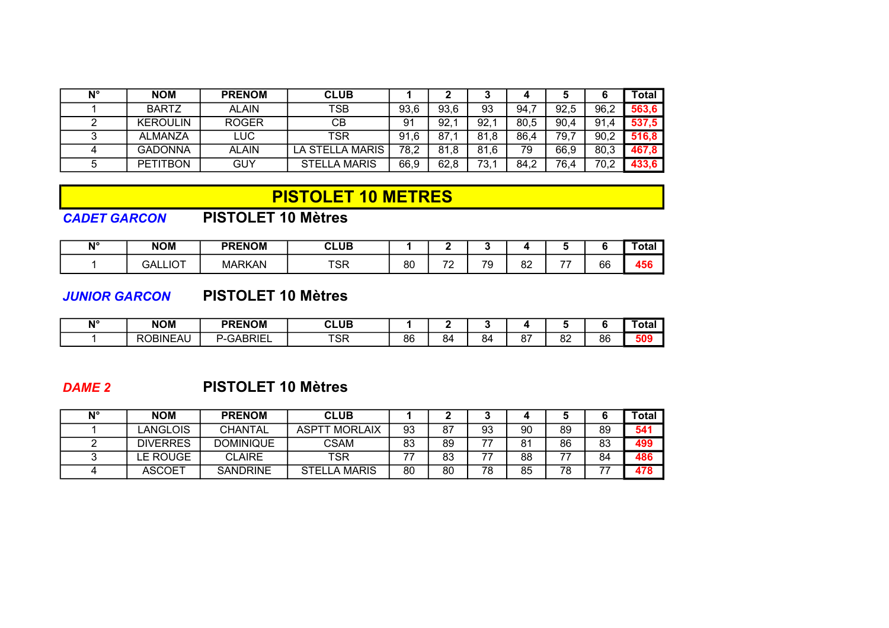| N° | <b>NOM</b>      | <b>PRENOM</b> | <b>CLUB</b>         |          |      |      |      |      |          | Total |
|----|-----------------|---------------|---------------------|----------|------|------|------|------|----------|-------|
|    | <b>BARTZ</b>    | <b>ALAIN</b>  | TSB                 | 93,6     | 93,6 | 93   | 94,7 | 92,5 | 96,2     | 563,6 |
|    | <b>KEROULIN</b> | <b>ROGER</b>  | CВ                  | 91       | 92.  | 92,  | 80,5 | 90.4 | 91<br>.4 | 537,5 |
|    | <b>ALMANZA</b>  | LUC           | TSR                 | 91<br>.6 | 87   | 81,8 | 86,4 | 79,7 | 90,2     | 516.8 |
|    | <b>GADONNA</b>  | <b>ALAIN</b>  | LA STELLA MARIS     | 78,2     | 81.8 | 81.6 | 79   | 66.9 | 80,3     | 467,8 |
|    | <b>PETITBON</b> | GUY           | <b>STELLA MARIS</b> | 66,9     | 62.8 | 73,  | 84.2 | 76,4 | 70,2     | 433,6 |

## PISTOLET 10 METRES

## CADET GARCON PISTOLET 10 Mètres

| лlо<br>. . | <b>NOM</b>     | <b>PRENOM</b> | <b>CLUB</b> |    | -                             |         |                    |    |    | ˈotal                             |
|------------|----------------|---------------|-------------|----|-------------------------------|---------|--------------------|----|----|-----------------------------------|
|            | <b>GALLIOT</b> | <b>MARKAN</b> | <b>TSR</b>  | 80 | $\overline{\phantom{a}}$<br>- | 70<br>ີ | o٥<br>oΖ<br>$\sim$ | -- | 66 | $\bullet$ $\bullet$<br><b>456</b> |

#### JUNIOR GARCON PISTOLET 10 Mètres

| N° | <b>NOM</b>      | <b>PRENOM</b>         | <b>CLUB</b> |    |    |    |                        |                      |           | otal |
|----|-----------------|-----------------------|-------------|----|----|----|------------------------|----------------------|-----------|------|
|    | <b>ROBINEAU</b> | <sup>2</sup> -GABRIEL | TOD<br>১    | 86 | 84 | ΧД | $\sim$<br>$\mathbf{o}$ | $\circ$<br>٥z<br>$-$ | 86<br>- - | 509  |

## DAME 2 PISTOLET 10 Mètres

| N° | <b>NOM</b>      | <b>PRENOM</b>    | <b>CLUB</b>             |    |    |    |    |    |    | Total |
|----|-----------------|------------------|-------------------------|----|----|----|----|----|----|-------|
|    | _ANGLOIS        | <b>CHANTAL</b>   | <b>MORLAIX</b><br>ASPTT | 93 | 87 | 93 | 90 | 89 | 89 | 541   |
|    | <b>DIVERRES</b> | <b>DOMINIQUE</b> | CSAM                    | 83 | 89 | -- | 81 | 86 | 83 | 499   |
|    | E ROUGE.        | <b>CLAIRE</b>    | <b>TSR</b>              |    | 83 |    | 88 | ララ | 84 | 486   |
|    | <b>ASCOET</b>   | <b>SANDRINE</b>  | <b>STELLA MARIS</b>     | 80 | 80 | 78 | 85 | 78 |    | 478   |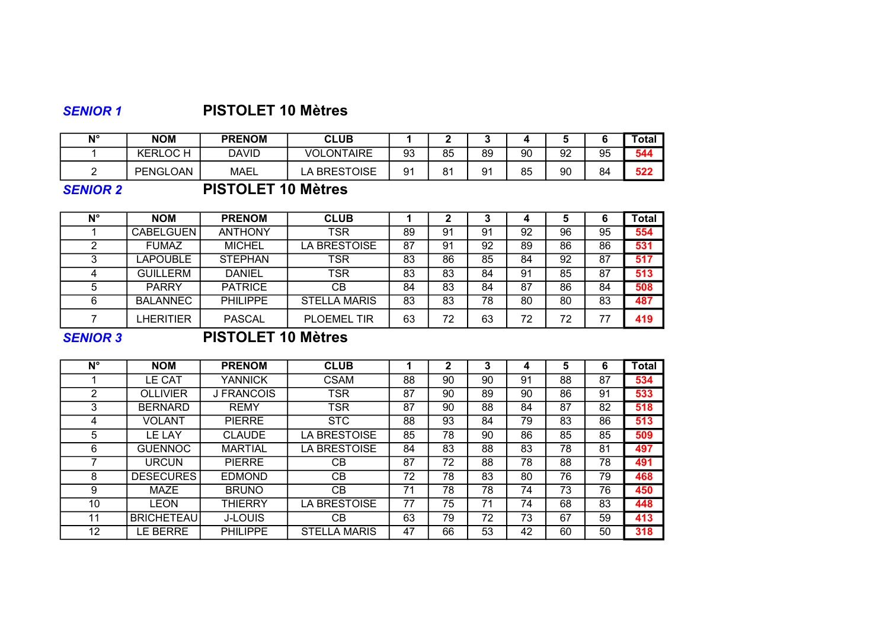## SENIOR 1 PISTOLET 10 Mètres

| N° | <b>NOM</b>     | <b>PRENOM</b> | <b>CLUB</b>                  |    |    |    |    |    |    | <sup>-</sup> otal |
|----|----------------|---------------|------------------------------|----|----|----|----|----|----|-------------------|
|    | <b>KERLOCH</b> | David         | <b>ONTAIRE</b><br><b>VOL</b> | 93 | 85 | 89 | 90 | 92 | 95 | 544               |
|    | PENGLOAN       | MAEL          | LA BRESTOISE                 | 91 | 81 | 91 | 85 | 90 | 84 | 522               |

## SENIOR 2 PISTOLET 10 Mètres

| $N^{\circ}$ | <b>NOM</b>       | <b>PRENOM</b>   | <b>CLUB</b>         |    |    |    |    | а  |    | <b>Total</b> |
|-------------|------------------|-----------------|---------------------|----|----|----|----|----|----|--------------|
|             | <b>CABELGUEN</b> | <b>ANTHONY</b>  | <b>TSR</b>          | 89 | 91 | 91 | 92 | 96 | 95 | 554          |
|             | <b>FUMAZ</b>     | <b>MICHEL</b>   | LA BRESTOISE        | 87 | 91 | 92 | 89 | 86 | 86 | 531          |
|             | <b>LAPOUBLE</b>  | <b>STEPHAN</b>  | TSR                 | 83 | 86 | 85 | 84 | 92 | 87 | 517          |
|             | <b>GUILLERM</b>  | <b>DANIEL</b>   | <b>TSR</b>          | 83 | 83 | 84 | 91 | 85 | 87 | 513          |
| G           | <b>PARRY</b>     | <b>PATRICE</b>  | CВ                  | 84 | 83 | 84 | 87 | 86 | 84 | 508          |
| 6           | <b>BALANNEC</b>  | <b>PHILIPPE</b> | <b>STELLA MARIS</b> | 83 | 83 | 78 | 80 | 80 | 83 | 487          |
|             | LHERITIER        | <b>PASCAL</b>   | <b>PLOEMEL TIR</b>  | 63 | 72 | 63 | 72 | 72 | 77 | 419          |

#### SENIOR 3 PISTOLET 10 Mètres

| N° | <b>NOM</b>        | <b>PRENOM</b>     | <b>CLUB</b>         |    | 2  |    |    | 5  | 6  | <b>Total</b> |
|----|-------------------|-------------------|---------------------|----|----|----|----|----|----|--------------|
|    | LE CAT            | YANNICK           | <b>CSAM</b>         | 88 | 90 | 90 | 91 | 88 | 87 | 534          |
| 2  | <b>OLLIVIER</b>   | <b>J FRANCOIS</b> | <b>TSR</b>          | 87 | 90 | 89 | 90 | 86 | 91 | 533          |
| 3  | <b>BERNARD</b>    | <b>REMY</b>       | <b>TSR</b>          | 87 | 90 | 88 | 84 | 87 | 82 | 518          |
| 4  | VOLANT            | <b>PIERRE</b>     | <b>STC</b>          | 88 | 93 | 84 | 79 | 83 | 86 | 513          |
| 5  | LE LAY            | <b>CLAUDE</b>     | LA BRESTOISE        | 85 | 78 | 90 | 86 | 85 | 85 | 509          |
| 6  | <b>GUENNOC</b>    | <b>MARTIAL</b>    | LA BRESTOISE        | 84 | 83 | 88 | 83 | 78 | 81 | 497          |
|    | URCUN             | <b>PIERRE</b>     | CВ                  | 87 | 72 | 88 | 78 | 88 | 78 | 491          |
| 8  | <b>DESECURES</b>  | <b>EDMOND</b>     | CВ                  | 72 | 78 | 83 | 80 | 76 | 79 | 468          |
| 9  | <b>MAZE</b>       | <b>BRUNO</b>      | СB                  | 71 | 78 | 78 | 74 | 73 | 76 | 450          |
| 10 | LEON              | THIERRY           | LA BRESTOISE        | 77 | 75 | 71 | 74 | 68 | 83 | 448          |
| 11 | <b>BRICHETEAU</b> | <b>J-LOUIS</b>    | СB                  | 63 | 79 | 72 | 73 | 67 | 59 | 413          |
| 12 | E BERRE.          | <b>PHILIPPE</b>   | <b>STELLA MARIS</b> | 47 | 66 | 53 | 42 | 60 | 50 | 318          |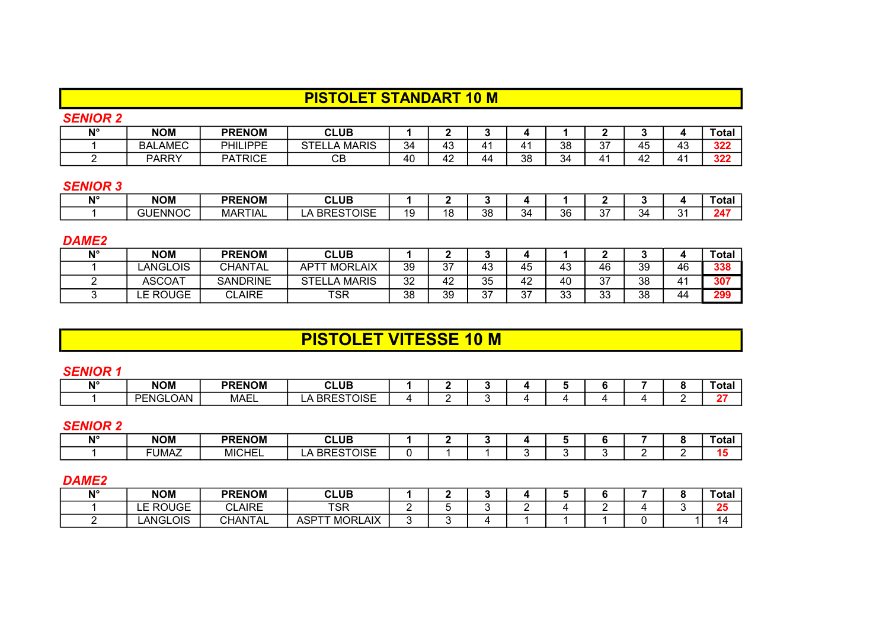## PISTOLET STANDART 10 M

### SENIOR 2

| <b>AIO</b> | <b>NOM</b>     | <b>PRENOM</b>   | <b>CLUB</b>                       |    |                  |    |    |    |              |                      |                      | 'otal           |
|------------|----------------|-----------------|-----------------------------------|----|------------------|----|----|----|--------------|----------------------|----------------------|-----------------|
|            | <b>BALAMEC</b> | <b>PHILIPPE</b> | <b>MARIS</b><br>$\cap$ T $\Gamma$ | 34 | $\sqrt{2}$<br>43 | Δ  | 41 | 38 | $\sim$<br>ັບ | $\overline{ }$<br>45 | $\overline{ }$<br>ن+ | 32 <sub>7</sub> |
|            | <b>PARRY</b>   | <b>PATRICE</b>  | ◠◻<br>◡∟                          | 40 | 42               | 44 | 38 | 34 |              | $\overline{ }$<br>47 |                      | י מפ<br>JZ.     |

#### SENIOR 3

| <b>AIO</b> | <b>NOM</b>     | <b>PRENOM</b> | <b>CLUB</b>                       |          |     |         |    |    |                  |    |               | ˈotal |
|------------|----------------|---------------|-----------------------------------|----------|-----|---------|----|----|------------------|----|---------------|-------|
|            | <b>GUENNOC</b> | MARTIAL       | <b>BRESTOISE</b><br>$\rightarrow$ | 10<br>יי | 4 C | ററ<br>. | 34 | 36 | $\sim$ $-$<br>., | 34 | $\sim$<br>. . | - 24* |

#### DAME<sub>2</sub>

| N° | <b>NOM</b>      | <b>PRENOM</b>   | <b>CLUB</b>           |    |    |            |               |          |          |    |     | $\mathsf{Total}$ . |
|----|-----------------|-----------------|-----------------------|----|----|------------|---------------|----------|----------|----|-----|--------------------|
|    | <b>LANGLOIS</b> | <b>CHANTAL</b>  | <b>MORLAIX</b><br>ΔDΤ | 39 | 37 | 43         | 45            | 43       | 46       | 39 | 46  | 338                |
|    | <b>ASCOAT</b>   | <b>SANDRINE</b> | MARIS ا<br>STEI       | 32 | 42 | つに<br>ບບ   | 42            | 40       | -37      | 38 | A 4 | 307                |
|    | LE ROUGE        | <b>CLAIRE</b>   | TSR                   | 38 | 39 | -27<br>، ب | $\sim$<br>ູບ. | っっ<br>ບປ | 22<br>υu | 38 | 44  | 299                |

## PISTOLET VITESSE 10 M

#### SENIOR 1

| N۱° | <b>NOM</b> | <b>PRENOM</b> | <b>CLUB</b>                        |  |  |  |  | ⊤ota. |
|-----|------------|---------------|------------------------------------|--|--|--|--|-------|
|     | PENGLOAN   | MAEL          | ESTOISE<br><b>DDL</b><br>∸<br>____ |  |  |  |  |       |

#### SENIOR 2

| <b>AIO</b> | <b>NOM</b>            | <b>PRENOM</b> | <b>CLUB</b>      |  |  |  |  | Гotal |
|------------|-----------------------|---------------|------------------|--|--|--|--|-------|
|            | <b>FUBBA7</b><br>UMAZ | <b>MICHEL</b> | <b>BRESTOISE</b> |  |  |  |  |       |

#### DAME<sub>2</sub>

| N° | <b>NOM</b>           | <b>PRENOM</b> | <b>CLUB</b>                        |     |  |  |  | Total     |
|----|----------------------|---------------|------------------------------------|-----|--|--|--|-----------|
|    | E ROUGE<br><b>∟∟</b> | <b>CLAIRE</b> | <b>TSR</b>                         |     |  |  |  | <b>OF</b> |
|    | <b>LANGLOIS</b>      | CHANTAL       | <b>MORLAIX</b><br>ASP <sup>7</sup> | . . |  |  |  |           |